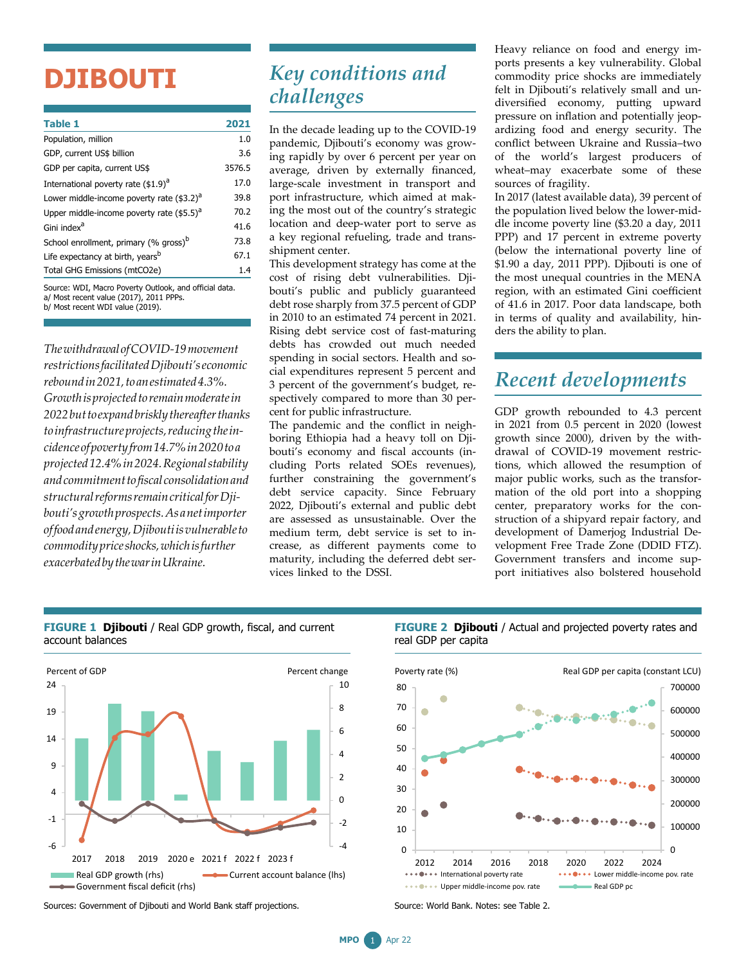# **DJIBOUTI**

| <b>Table 1</b>                                                                                    | 2021   |
|---------------------------------------------------------------------------------------------------|--------|
| Population, million                                                                               | 1.0    |
| GDP, current US\$ billion                                                                         | 3.6    |
| GDP per capita, current US\$                                                                      | 3576.5 |
| International poverty rate (\$1.9) <sup>a</sup>                                                   | 17.0   |
| Lower middle-income poverty rate (\$3.2) <sup>a</sup>                                             | 39.8   |
| Upper middle-income poverty rate $($ \$5.5) $^{\circ}$                                            | 70.2   |
| Gini index <sup>a</sup>                                                                           | 41.6   |
| School enrollment, primary (% gross) <sup>b</sup>                                                 | 73.8   |
| Life expectancy at birth, years <sup>b</sup>                                                      | 67.1   |
| Total GHG Emissions (mtCO2e)                                                                      | 1.4    |
| Source: WDI, Macro Poverty Outlook, and official data.<br>a/ Most recent value (2017), 2011 PPPs. |        |

b/ Most recent WDI value (2019).

*ThewithdrawalofCOVID-19movement restrictionsfacilitatedDjibouti'seconomic reboundin2021,toanestimated4.3%. Growthisprojectedtoremainmoderatein 2022buttoexpandbrisklythereafterthanks toinfrastructureprojects,reducingtheincidenceofpovertyfrom14.7%in2020toa projected12.4%in2024.Regionalstability andcommitmenttofiscal consolidationand structuralreformsremaincriticalforDjibouti'sgrowthprospects.Asanetimporter offoodandenergy,Djiboutiisvulnerableto commoditypriceshocks,whichisfurther exacerbatedbythewarinUkraine.*

## *Key conditions and challenges*

In the decade leading up to the COVID-19 pandemic, Djibouti's economy was growing rapidly by over 6 percent per year on average, driven by externally financed, large-scale investment in transport and port infrastructure, which aimed at making the most out of the country's strategic location and deep-water port to serve as a key regional refueling, trade and transshipment center.

This development strategy has come at the cost of rising debt vulnerabilities. Djibouti's public and publicly guaranteed debt rose sharply from 37.5 percent of GDP in 2010 to an estimated 74 percent in 2021. Rising debt service cost of fast-maturing debts has crowded out much needed spending in social sectors. Health and social expenditures represent 5 percent and 3 percent of the government's budget, respectively compared to more than 30 percent for public infrastructure.

The pandemic and the conflict in neighboring Ethiopia had a heavy toll on Djibouti's economy and fiscal accounts (including Ports related SOEs revenues), further constraining the government's debt service capacity. Since February 2022, Djibouti's external and public debt are assessed as unsustainable. Over the medium term, debt service is set to increase, as different payments come to maturity, including the deferred debt services linked to the DSSI.

Heavy reliance on food and energy imports presents a key vulnerability. Global commodity price shocks are immediately felt in Djibouti's relatively small and undiversified economy, putting upward pressure on inflation and potentially jeopardizing food and energy security. The conflict between Ukraine and Russia–two of the world's largest producers of wheat–may exacerbate some of these sources of fragility.

In 2017 (latest available data), 39 percent of the population lived below the lower-middle income poverty line (\$3.20 a day, 2011 PPP) and 17 percent in extreme poverty (below the international poverty line of \$1.90 a day, 2011 PPP). Djibouti is one of the most unequal countries in the MENA region, with an estimated Gini coefficient of 41.6 in 2017. Poor data landscape, both in terms of quality and availability, hinders the ability to plan.

### *Recent developments*

GDP growth rebounded to 4.3 percent in 2021 from 0.5 percent in 2020 (lowest growth since 2000), driven by the withdrawal of COVID-19 movement restrictions, which allowed the resumption of major public works, such as the transformation of the old port into a shopping center, preparatory works for the construction of a shipyard repair factory, and development of Damerjog Industrial Development Free Trade Zone (DDID FTZ). Government transfers and income support initiatives also bolstered household



#### **FIGURE 1 Djibouti** / Real GDP growth, fiscal, and current account balances

Sources: Government of Djibouti and World Bank staff projections.

**FIGURE 2 Djibouti** / Actual and projected poverty rates and real GDP per capita



Source: World Bank. Notes: see Table 2.